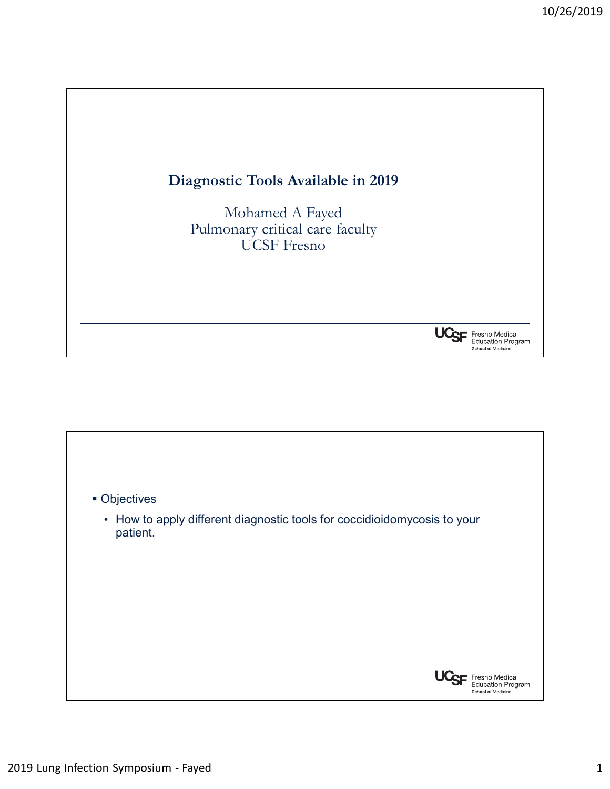

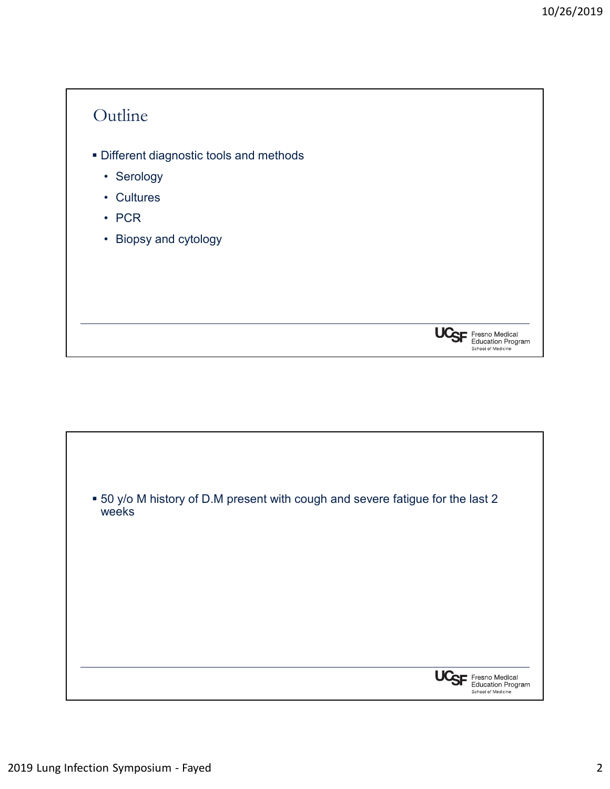## **Outline**

- Different diagnostic tools and methods Putline<br>Poifferent diagnostic tools and methods<br>• Serology<br>• Cultures<br>• PCR<br>• Bionsy and cytology • Mutline<br>
→ Mifferent diagnostic tools and methods<br>
• Serology<br>
• Cultures<br>
• PCR<br>
• Biopsy and cytology • PCR - Mutline<br>Different diagnostic tools and methods<br>- Serology<br>- Cultures<br>- PCR<br>- Biopsy and cytology
	-
	-
	-
	-



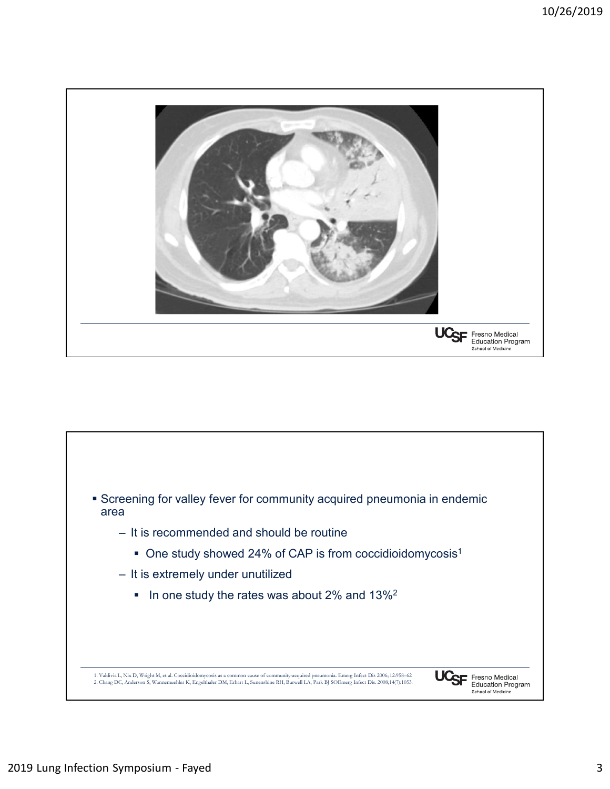

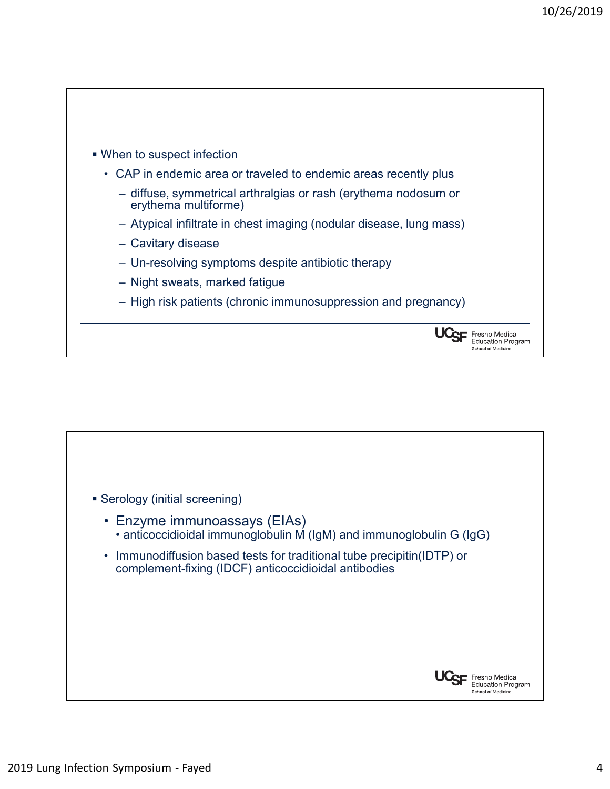

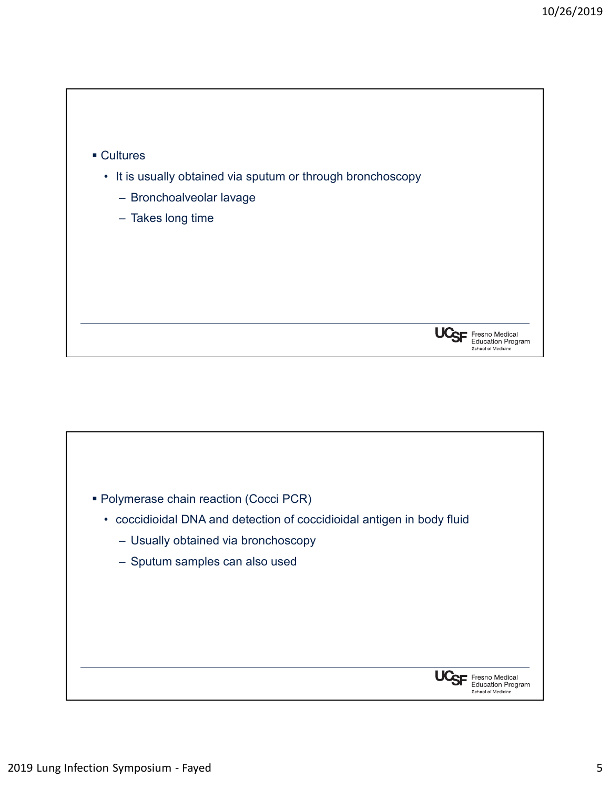

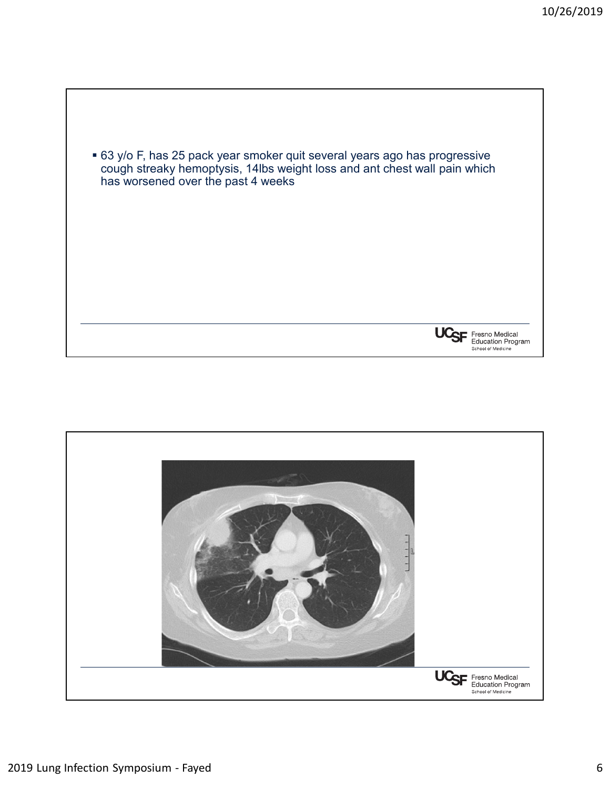

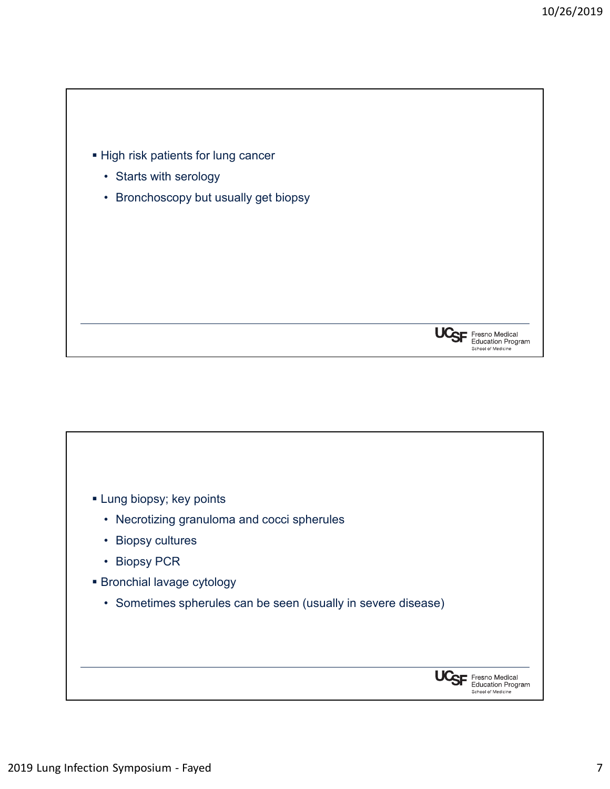

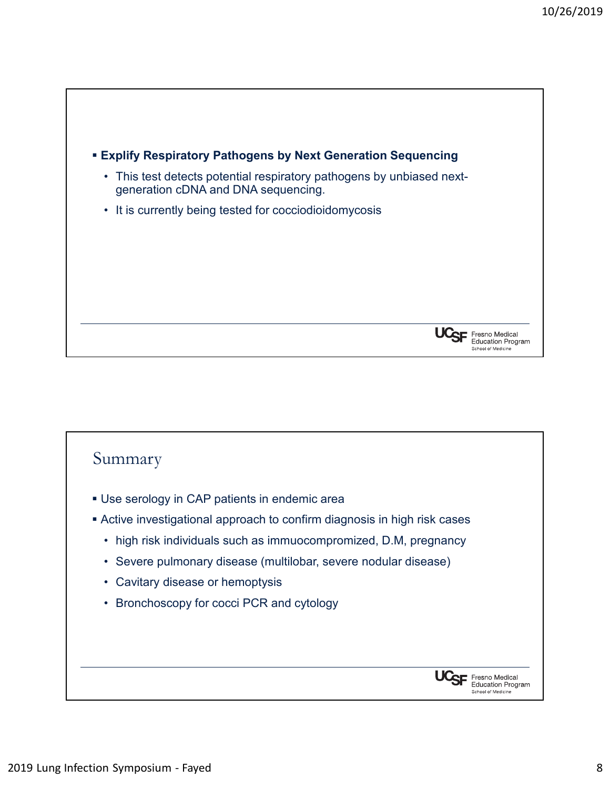